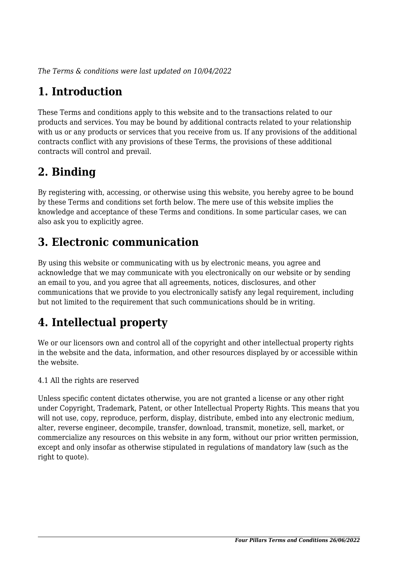*The Terms & conditions were last updated on 10/04/2022*

# **1. Introduction**

These Terms and conditions apply to this website and to the transactions related to our products and services. You may be bound by additional contracts related to your relationship with us or any products or services that you receive from us. If any provisions of the additional contracts conflict with any provisions of these Terms, the provisions of these additional contracts will control and prevail.

## **2. Binding**

By registering with, accessing, or otherwise using this website, you hereby agree to be bound by these Terms and conditions set forth below. The mere use of this website implies the knowledge and acceptance of these Terms and conditions. In some particular cases, we can also ask you to explicitly agree.

# **3. Electronic communication**

By using this website or communicating with us by electronic means, you agree and acknowledge that we may communicate with you electronically on our website or by sending an email to you, and you agree that all agreements, notices, disclosures, and other communications that we provide to you electronically satisfy any legal requirement, including but not limited to the requirement that such communications should be in writing.

# **4. Intellectual property**

We or our licensors own and control all of the copyright and other intellectual property rights in the website and the data, information, and other resources displayed by or accessible within the website.

4.1 All the rights are reserved

Unless specific content dictates otherwise, you are not granted a license or any other right under Copyright, Trademark, Patent, or other Intellectual Property Rights. This means that you will not use, copy, reproduce, perform, display, distribute, embed into any electronic medium, alter, reverse engineer, decompile, transfer, download, transmit, monetize, sell, market, or commercialize any resources on this website in any form, without our prior written permission, except and only insofar as otherwise stipulated in regulations of mandatory law (such as the right to quote).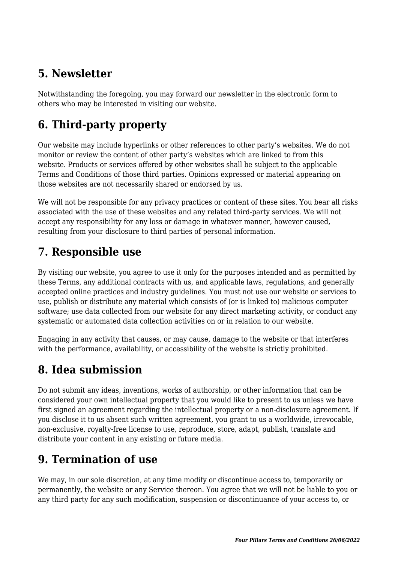## **5. Newsletter**

Notwithstanding the foregoing, you may forward our newsletter in the electronic form to others who may be interested in visiting our website.

# **6. Third-party property**

Our website may include hyperlinks or other references to other party's websites. We do not monitor or review the content of other party's websites which are linked to from this website. Products or services offered by other websites shall be subject to the applicable Terms and Conditions of those third parties. Opinions expressed or material appearing on those websites are not necessarily shared or endorsed by us.

We will not be responsible for any privacy practices or content of these sites. You bear all risks associated with the use of these websites and any related third-party services. We will not accept any responsibility for any loss or damage in whatever manner, however caused, resulting from your disclosure to third parties of personal information.

### **7. Responsible use**

By visiting our website, you agree to use it only for the purposes intended and as permitted by these Terms, any additional contracts with us, and applicable laws, regulations, and generally accepted online practices and industry guidelines. You must not use our website or services to use, publish or distribute any material which consists of (or is linked to) malicious computer software; use data collected from our website for any direct marketing activity, or conduct any systematic or automated data collection activities on or in relation to our website.

Engaging in any activity that causes, or may cause, damage to the website or that interferes with the performance, availability, or accessibility of the website is strictly prohibited.

## **8. Idea submission**

Do not submit any ideas, inventions, works of authorship, or other information that can be considered your own intellectual property that you would like to present to us unless we have first signed an agreement regarding the intellectual property or a non-disclosure agreement. If you disclose it to us absent such written agreement, you grant to us a worldwide, irrevocable, non-exclusive, royalty-free license to use, reproduce, store, adapt, publish, translate and distribute your content in any existing or future media.

## **9. Termination of use**

We may, in our sole discretion, at any time modify or discontinue access to, temporarily or permanently, the website or any Service thereon. You agree that we will not be liable to you or any third party for any such modification, suspension or discontinuance of your access to, or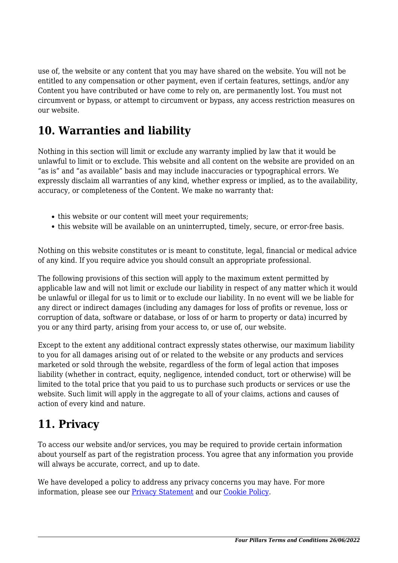use of, the website or any content that you may have shared on the website. You will not be entitled to any compensation or other payment, even if certain features, settings, and/or any Content you have contributed or have come to rely on, are permanently lost. You must not circumvent or bypass, or attempt to circumvent or bypass, any access restriction measures on our website.

### **10. Warranties and liability**

Nothing in this section will limit or exclude any warranty implied by law that it would be unlawful to limit or to exclude. This website and all content on the website are provided on an "as is" and "as available" basis and may include inaccuracies or typographical errors. We expressly disclaim all warranties of any kind, whether express or implied, as to the availability, accuracy, or completeness of the Content. We make no warranty that:

- this website or our content will meet your requirements;
- this website will be available on an uninterrupted, timely, secure, or error-free basis.

Nothing on this website constitutes or is meant to constitute, legal, financial or medical advice of any kind. If you require advice you should consult an appropriate professional.

The following provisions of this section will apply to the maximum extent permitted by applicable law and will not limit or exclude our liability in respect of any matter which it would be unlawful or illegal for us to limit or to exclude our liability. In no event will we be liable for any direct or indirect damages (including any damages for loss of profits or revenue, loss or corruption of data, software or database, or loss of or harm to property or data) incurred by you or any third party, arising from your access to, or use of, our website.

Except to the extent any additional contract expressly states otherwise, our maximum liability to you for all damages arising out of or related to the website or any products and services marketed or sold through the website, regardless of the form of legal action that imposes liability (whether in contract, equity, negligence, intended conduct, tort or otherwise) will be limited to the total price that you paid to us to purchase such products or services or use the website. Such limit will apply in the aggregate to all of your claims, actions and causes of action of every kind and nature.

### **11. Privacy**

To access our website and/or services, you may be required to provide certain information about yourself as part of the registration process. You agree that any information you provide will always be accurate, correct, and up to date.

We have developed a policy to address any privacy concerns you may have. For more information, please see our **Privacy Statement** and our **[Cookie Policy](https://www.fourpillarsuk.org/cookie-policy-uk/)**.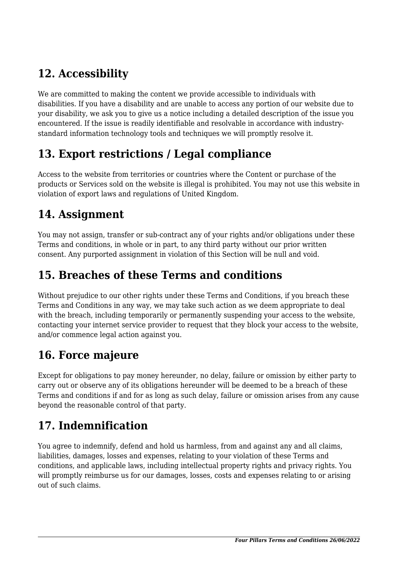# **12. Accessibility**

We are committed to making the content we provide accessible to individuals with disabilities. If you have a disability and are unable to access any portion of our website due to your disability, we ask you to give us a notice including a detailed description of the issue you encountered. If the issue is readily identifiable and resolvable in accordance with industrystandard information technology tools and techniques we will promptly resolve it.

### **13. Export restrictions / Legal compliance**

Access to the website from territories or countries where the Content or purchase of the products or Services sold on the website is illegal is prohibited. You may not use this website in violation of export laws and regulations of United Kingdom.

#### **14. Assignment**

You may not assign, transfer or sub-contract any of your rights and/or obligations under these Terms and conditions, in whole or in part, to any third party without our prior written consent. Any purported assignment in violation of this Section will be null and void.

#### **15. Breaches of these Terms and conditions**

Without prejudice to our other rights under these Terms and Conditions, if you breach these Terms and Conditions in any way, we may take such action as we deem appropriate to deal with the breach, including temporarily or permanently suspending your access to the website, contacting your internet service provider to request that they block your access to the website, and/or commence legal action against you.

### **16. Force majeure**

Except for obligations to pay money hereunder, no delay, failure or omission by either party to carry out or observe any of its obligations hereunder will be deemed to be a breach of these Terms and conditions if and for as long as such delay, failure or omission arises from any cause beyond the reasonable control of that party.

## **17. Indemnification**

You agree to indemnify, defend and hold us harmless, from and against any and all claims, liabilities, damages, losses and expenses, relating to your violation of these Terms and conditions, and applicable laws, including intellectual property rights and privacy rights. You will promptly reimburse us for our damages, losses, costs and expenses relating to or arising out of such claims.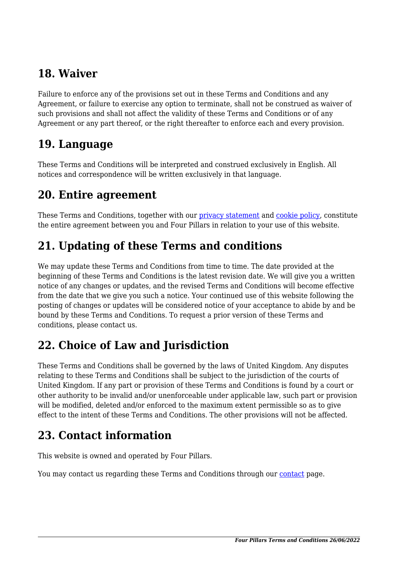### **18. Waiver**

Failure to enforce any of the provisions set out in these Terms and Conditions and any Agreement, or failure to exercise any option to terminate, shall not be construed as waiver of such provisions and shall not affect the validity of these Terms and Conditions or of any Agreement or any part thereof, or the right thereafter to enforce each and every provision.

#### **19. Language**

These Terms and Conditions will be interpreted and construed exclusively in English. All notices and correspondence will be written exclusively in that language.

#### **20. Entire agreement**

These Terms and Conditions, together with our privacy statement and [cookie policy,](https://www.fourpillarsuk.org/cookie-policy-uk/) constitute the entire agreement between you and Four Pillars in relation to your use of this website.

## **21. Updating of these Terms and conditions**

We may update these Terms and Conditions from time to time. The date provided at the beginning of these Terms and Conditions is the latest revision date. We will give you a written notice of any changes or updates, and the revised Terms and Conditions will become effective from the date that we give you such a notice. Your continued use of this website following the posting of changes or updates will be considered notice of your acceptance to abide by and be bound by these Terms and Conditions. To request a prior version of these Terms and conditions, please contact us.

## **22. Choice of Law and Jurisdiction**

These Terms and Conditions shall be governed by the laws of United Kingdom. Any disputes relating to these Terms and Conditions shall be subject to the jurisdiction of the courts of United Kingdom. If any part or provision of these Terms and Conditions is found by a court or other authority to be invalid and/or unenforceable under applicable law, such part or provision will be modified, deleted and/or enforced to the maximum extent permissible so as to give effect to the intent of these Terms and Conditions. The other provisions will not be affected.

## **23. Contact information**

This website is owned and operated by Four Pillars.

You may contact us regarding these Terms and Conditions through our contact page.